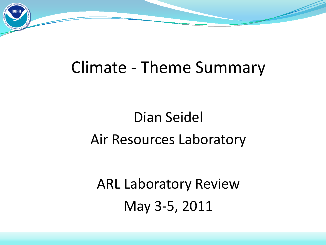

# Dian Seidel Air Resources Laboratory

ARL Laboratory Review May 3-5, 2011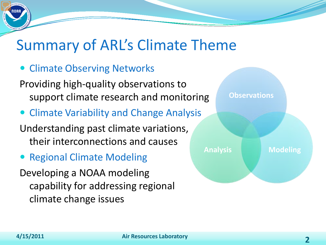## Summary of ARL's Climate Theme

• Climate Observing Networks

Providing high-quality observations to support climate research and monitoring

Climate Variability and Change Analysis

Understanding past climate variations, their interconnections and causes

• Regional Climate Modeling

Developing a NOAA modeling capability for addressing regional climate change issues

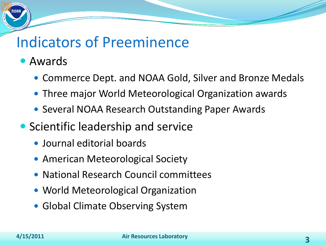### Indicators of Preeminence

- Awards
	- Commerce Dept. and NOAA Gold, Silver and Bronze Medals
	- Three major World Meteorological Organization awards
	- Several NOAA Research Outstanding Paper Awards
- **Scientific leadership and service** 
	- Journal editorial boards
	- American Meteorological Society
	- National Research Council committees
	- World Meteorological Organization
	- Global Climate Observing System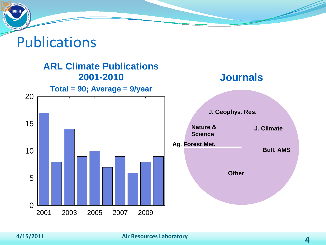### Publications

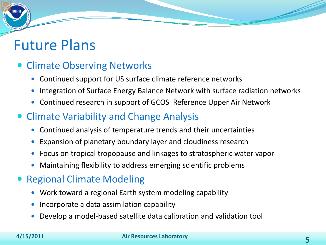### Future Plans

#### Climate Observing Networks

- Continued support for US surface climate reference networks
- Integration of Surface Energy Balance Network with surface radiation networks
- Continued research in support of GCOS Reference Upper Air Network

#### Climate Variability and Change Analysis

- Continued analysis of temperature trends and their uncertainties
- Expansion of planetary boundary layer and cloudiness research
- Focus on tropical tropopause and linkages to stratospheric water vapor
- Maintaining flexibility to address emerging scientific problems

#### Regional Climate Modeling

- Work toward a regional Earth system modeling capability
- Incorporate a data assimilation capability
- Develop a model-based satellite data calibration and validation tool